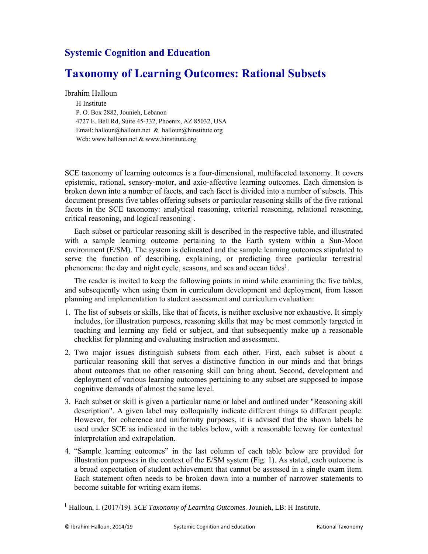## **Systemic Cognition and Education**

## **Taxonomy of Learning Outcomes: Rational Subsets**

Ibrahim Halloun

H Institute P. O. Box 2882, Jounieh, Lebanon 4727 E. Bell Rd, Suite 45-332, Phoenix, AZ 85032, USA Email: halloun@halloun.net & halloun@hinstitute.org Web: www.halloun.net & www.hinstitute.org

SCE taxonomy of learning outcomes is a four-dimensional, multifaceted taxonomy. It covers epistemic, rational, sensory-motor, and axio-affective learning outcomes. Each dimension is broken down into a number of facets, and each facet is divided into a number of subsets. This document presents five tables offering subsets or particular reasoning skills of the five rational facets in the SCE taxonomy: analytical reasoning, criterial reasoning, relational reasoning, critical reasoning, and logical reasoning1.

Each subset or particular reasoning skill is described in the respective table, and illustrated with a sample learning outcome pertaining to the Earth system within a Sun-Moon environment (E/SM). The system is delineated and the sample learning outcomes stipulated to serve the function of describing, explaining, or predicting three particular terrestrial phenomena: the day and night cycle, seasons, and sea and ocean tides<sup>1</sup>.

The reader is invited to keep the following points in mind while examining the five tables, and subsequently when using them in curriculum development and deployment, from lesson planning and implementation to student assessment and curriculum evaluation:

- 1. The list of subsets or skills, like that of facets, is neither exclusive nor exhaustive. It simply includes, for illustration purposes, reasoning skills that may be most commonly targeted in teaching and learning any field or subject, and that subsequently make up a reasonable checklist for planning and evaluating instruction and assessment.
- 2. Two major issues distinguish subsets from each other. First, each subset is about a particular reasoning skill that serves a distinctive function in our minds and that brings about outcomes that no other reasoning skill can bring about. Second, development and deployment of various learning outcomes pertaining to any subset are supposed to impose cognitive demands of almost the same level.
- 3. Each subset or skill is given a particular name or label and outlined under "Reasoning skill description". A given label may colloquially indicate different things to different people. However, for coherence and uniformity purposes, it is advised that the shown labels be used under SCE as indicated in the tables below, with a reasonable leeway for contextual interpretation and extrapolation.
- 4. "Sample learning outcomes" in the last column of each table below are provided for illustration purposes in the context of the E/SM system (Fig. 1). As stated, each outcome is a broad expectation of student achievement that cannot be assessed in a single exam item. Each statement often needs to be broken down into a number of narrower statements to become suitable for writing exam items.

<sup>1</sup> Halloun, I. (2017/19*). SCE Taxonomy of Learning Outcomes*. Jounieh, LB: H Institute.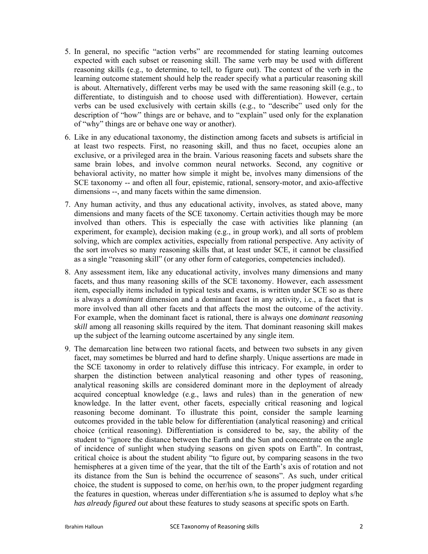- 5. In general, no specific "action verbs" are recommended for stating learning outcomes expected with each subset or reasoning skill. The same verb may be used with different reasoning skills (e.g., to determine, to tell, to figure out). The context of the verb in the learning outcome statement should help the reader specify what a particular reasoning skill is about. Alternatively, different verbs may be used with the same reasoning skill (e.g., to differentiate, to distinguish and to choose used with differentiation). However, certain verbs can be used exclusively with certain skills (e.g., to "describe" used only for the description of "how" things are or behave, and to "explain" used only for the explanation of "why" things are or behave one way or another).
- 6. Like in any educational taxonomy, the distinction among facets and subsets is artificial in at least two respects. First, no reasoning skill, and thus no facet, occupies alone an exclusive, or a privileged area in the brain. Various reasoning facets and subsets share the same brain lobes, and involve common neural networks. Second, any cognitive or behavioral activity, no matter how simple it might be, involves many dimensions of the SCE taxonomy -- and often all four, epistemic, rational, sensory-motor, and axio-affective dimensions --, and many facets within the same dimension.
- 7. Any human activity, and thus any educational activity, involves, as stated above, many dimensions and many facets of the SCE taxonomy. Certain activities though may be more involved than others. This is especially the case with activities like planning (an experiment, for example), decision making (e.g., in group work), and all sorts of problem solving, which are complex activities, especially from rational perspective. Any activity of the sort involves so many reasoning skills that, at least under SCE, it cannot be classified as a single "reasoning skill" (or any other form of categories, competencies included).
- 8. Any assessment item, like any educational activity, involves many dimensions and many facets, and thus many reasoning skills of the SCE taxonomy. However, each assessment item, especially items included in typical tests and exams, is written under SCE so as there is always a *dominant* dimension and a dominant facet in any activity, i.e., a facet that is more involved than all other facets and that affects the most the outcome of the activity. For example, when the dominant facet is rational, there is always one *dominant reasoning skill* among all reasoning skills required by the item*.* That dominant reasoning skill makes up the subject of the learning outcome ascertained by any single item.
- 9. The demarcation line between two rational facets, and between two subsets in any given facet, may sometimes be blurred and hard to define sharply. Unique assertions are made in the SCE taxonomy in order to relatively diffuse this intricacy. For example, in order to sharpen the distinction between analytical reasoning and other types of reasoning, analytical reasoning skills are considered dominant more in the deployment of already acquired conceptual knowledge (e.g., laws and rules) than in the generation of new knowledge. In the latter event, other facets, especially critical reasoning and logical reasoning become dominant. To illustrate this point, consider the sample learning outcomes provided in the table below for differentiation (analytical reasoning) and critical choice (critical reasoning). Differentiation is considered to be, say, the ability of the student to "ignore the distance between the Earth and the Sun and concentrate on the angle of incidence of sunlight when studying seasons on given spots on Earth". In contrast, critical choice is about the student ability "to figure out, by comparing seasons in the two hemispheres at a given time of the year, that the tilt of the Earth's axis of rotation and not its distance from the Sun is behind the occurrence of seasons". As such, under critical choice, the student is supposed to come, on her/his own, to the proper judgment regarding the features in question, whereas under differentiation s/he is assumed to deploy what s/he *has already figured out* about these features to study seasons at specific spots on Earth.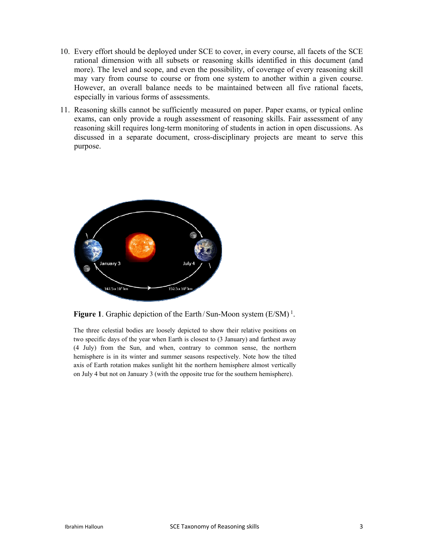- 10. Every effort should be deployed under SCE to cover, in every course, all facets of the SCE rational dimension with all subsets or reasoning skills identified in this document (and more). The level and scope, and even the possibility, of coverage of every reasoning skill may vary from course to course or from one system to another within a given course. However, an overall balance needs to be maintained between all five rational facets, especially in various forms of assessments.
- 11. Reasoning skills cannot be sufficiently measured on paper. Paper exams, or typical online exams, can only provide a rough assessment of reasoning skills. Fair assessment of any reasoning skill requires long-term monitoring of students in action in open discussions. As discussed in a separate document, cross-disciplinary projects are meant to serve this purpose.



**Figure 1.** Graphic depiction of the Earth/Sun-Moon system (E/SM)<sup>1</sup>.

The three celestial bodies are loosely depicted to show their relative positions on two specific days of the year when Earth is closest to (3 January) and farthest away (4 July) from the Sun, and when, contrary to common sense, the northern hemisphere is in its winter and summer seasons respectively. Note how the tilted axis of Earth rotation makes sunlight hit the northern hemisphere almost vertically on July 4 but not on January 3 (with the opposite true for the southern hemisphere).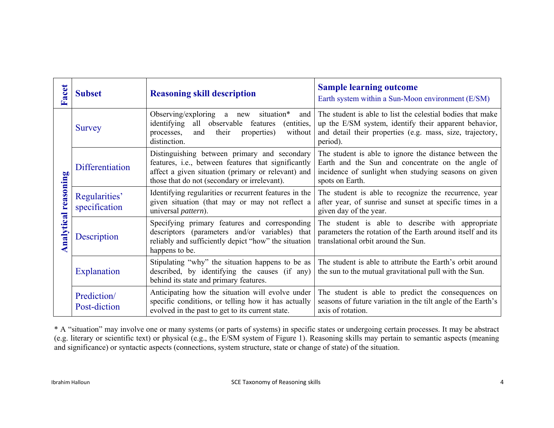| acet<br>عا              | <b>Subset</b>                  | <b>Reasoning skill description</b>                                                                                                                                                                        | <b>Sample learning outcome</b><br>Earth system within a Sun-Moon environment (E/SM)                                                                                                          |
|-------------------------|--------------------------------|-----------------------------------------------------------------------------------------------------------------------------------------------------------------------------------------------------------|----------------------------------------------------------------------------------------------------------------------------------------------------------------------------------------------|
| reasoning<br>Analytical | Survey                         | Observing/exploring a new<br>situation*<br>and<br>identifying<br>all observable features<br>(entities,<br>processes,<br>their<br>properties)<br>without<br>and<br>distinction.                            | The student is able to list the celestial bodies that make<br>up the E/SM system, identify their apparent behavior,<br>and detail their properties (e.g. mass, size, trajectory,<br>period). |
|                         | <b>Differentiation</b>         | Distinguishing between primary and secondary<br>features, i.e., between features that significantly<br>affect a given situation (primary or relevant) and<br>those that do not (secondary or irrelevant). | The student is able to ignore the distance between the<br>Earth and the Sun and concentrate on the angle of<br>incidence of sunlight when studying seasons on given<br>spots on Earth.       |
|                         | Regularities'<br>specification | Identifying regularities or recurrent features in the<br>given situation (that may or may not reflect a<br>universal pattern).                                                                            | The student is able to recognize the recurrence, year<br>after year, of sunrise and sunset at specific times in a<br>given day of the year.                                                  |
|                         | Description                    | Specifying primary features and corresponding<br>descriptors (parameters and/or variables) that<br>reliably and sufficiently depict "how" the situation<br>happens to be.                                 | The student is able to describe with appropriate<br>parameters the rotation of the Earth around itself and its<br>translational orbit around the Sun.                                        |
|                         | Explanation                    | Stipulating "why" the situation happens to be as<br>described, by identifying the causes (if any)<br>behind its state and primary features.                                                               | The student is able to attribute the Earth's orbit around<br>the sun to the mutual gravitational pull with the Sun.                                                                          |
|                         | Prediction/<br>Post-diction    | Anticipating how the situation will evolve under<br>specific conditions, or telling how it has actually<br>evolved in the past to get to its current state.                                               | The student is able to predict the consequences on<br>seasons of future variation in the tilt angle of the Earth's<br>axis of rotation.                                                      |

\* A "situation" may involve one or many systems (or parts of systems) in specific states or undergoing certain processes. It may be abstract (e.g. literary or scientific text) or physical (e.g., the E/SM system of Figure 1). Reasoning skills may pertain to semantic aspects (meaning and significance) or syntactic aspects (connections, system structure, state or change of state) of the situation.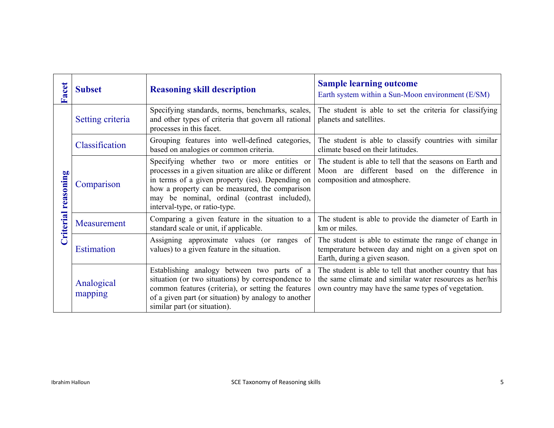| acet<br>عنا                | <b>Subset</b>         | <b>Reasoning skill description</b>                                                                                                                                                                                                                                                         | <b>Sample learning outcome</b><br>Earth system within a Sun-Moon environment (E/SM)                                                                                        |
|----------------------------|-----------------------|--------------------------------------------------------------------------------------------------------------------------------------------------------------------------------------------------------------------------------------------------------------------------------------------|----------------------------------------------------------------------------------------------------------------------------------------------------------------------------|
| <b>Criterial reasoning</b> | Setting criteria      | Specifying standards, norms, benchmarks, scales,<br>and other types of criteria that govern all rational<br>processes in this facet.                                                                                                                                                       | The student is able to set the criteria for classifying<br>planets and satellites.                                                                                         |
|                            | Classification        | Grouping features into well-defined categories,<br>based on analogies or common criteria.                                                                                                                                                                                                  | The student is able to classify countries with similar<br>climate based on their latitudes.                                                                                |
|                            | Comparison            | Specifying whether two or more entities or<br>processes in a given situation are alike or different<br>in terms of a given property (ies). Depending on<br>how a property can be measured, the comparison<br>may be nominal, ordinal (contrast included),<br>interval-type, or ratio-type. | The student is able to tell that the seasons on Earth and<br>Moon are different based on the difference in<br>composition and atmosphere.                                  |
|                            | Measurement           | Comparing a given feature in the situation to a<br>standard scale or unit, if applicable.                                                                                                                                                                                                  | The student is able to provide the diameter of Earth in<br>km or miles.                                                                                                    |
|                            | <b>Estimation</b>     | Assigning approximate values (or ranges of<br>values) to a given feature in the situation.                                                                                                                                                                                                 | The student is able to estimate the range of change in<br>temperature between day and night on a given spot on<br>Earth, during a given season.                            |
|                            | Analogical<br>mapping | Establishing analogy between two parts of a<br>situation (or two situations) by correspondence to<br>common features (criteria), or setting the features<br>of a given part (or situation) by analogy to another<br>similar part (or situation).                                           | The student is able to tell that another country that has<br>the same climate and similar water resources as her/his<br>own country may have the same types of vegetation. |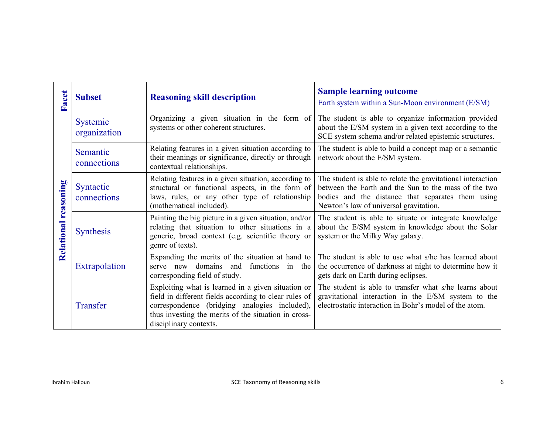| acet<br>Œ               | <b>Subset</b>                   | <b>Reasoning skill description</b>                                                                                                                                                                                                             | <b>Sample learning outcome</b><br>Earth system within a Sun-Moon environment (E/SM)                                                                                                                                |
|-------------------------|---------------------------------|------------------------------------------------------------------------------------------------------------------------------------------------------------------------------------------------------------------------------------------------|--------------------------------------------------------------------------------------------------------------------------------------------------------------------------------------------------------------------|
| reasoning<br>Relational | <b>Systemic</b><br>organization | Organizing a given situation in the form of<br>systems or other coherent structures.                                                                                                                                                           | The student is able to organize information provided<br>about the E/SM system in a given text according to the<br>SCE system schema and/or related epistemic structures.                                           |
|                         | Semantic<br>connections         | Relating features in a given situation according to<br>their meanings or significance, directly or through<br>contextual relationships.                                                                                                        | The student is able to build a concept map or a semantic<br>network about the E/SM system.                                                                                                                         |
|                         | Syntactic<br>connections        | Relating features in a given situation, according to<br>structural or functional aspects, in the form of<br>laws, rules, or any other type of relationship<br>(mathematical included).                                                         | The student is able to relate the gravitational interaction<br>between the Earth and the Sun to the mass of the two<br>bodies and the distance that separates them using<br>Newton's law of universal gravitation. |
|                         | <b>Synthesis</b>                | Painting the big picture in a given situation, and/or<br>relating that situation to other situations in a<br>generic, broad context (e.g. scientific theory or<br>genre of texts).                                                             | The student is able to situate or integrate knowledge<br>about the E/SM system in knowledge about the Solar<br>system or the Milky Way galaxy.                                                                     |
|                         | Extrapolation                   | Expanding the merits of the situation at hand to<br>serve new domains and<br>functions in the<br>corresponding field of study.                                                                                                                 | The student is able to use what s/he has learned about<br>the occurrence of darkness at night to determine how it<br>gets dark on Earth during eclipses.                                                           |
|                         | Transfer                        | Exploiting what is learned in a given situation or<br>field in different fields according to clear rules of<br>correspondence (bridging analogies included),<br>thus investing the merits of the situation in cross-<br>disciplinary contexts. | The student is able to transfer what s/he learns about<br>gravitational interaction in the E/SM system to the<br>electrostatic interaction in Bohr's model of the atom.                                            |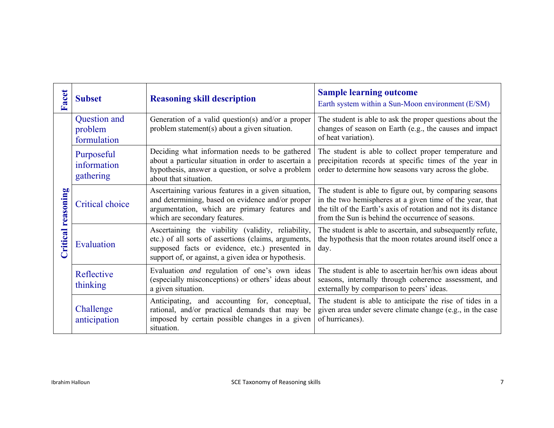| Facet             | <b>Subset</b>                          | <b>Reasoning skill description</b>                                                                                                                                                                                  | <b>Sample learning outcome</b><br>Earth system within a Sun-Moon environment (E/SM)                                                                                                                                                       |
|-------------------|----------------------------------------|---------------------------------------------------------------------------------------------------------------------------------------------------------------------------------------------------------------------|-------------------------------------------------------------------------------------------------------------------------------------------------------------------------------------------------------------------------------------------|
| ritical reasoning | Question and<br>problem<br>formulation | Generation of a valid question(s) and/or a proper<br>problem statement(s) about a given situation.                                                                                                                  | The student is able to ask the proper questions about the<br>changes of season on Earth (e.g., the causes and impact<br>of heat variation).                                                                                               |
|                   | Purposeful<br>information<br>gathering | Deciding what information needs to be gathered<br>about a particular situation in order to ascertain a<br>hypothesis, answer a question, or solve a problem<br>about that situation.                                | The student is able to collect proper temperature and<br>precipitation records at specific times of the year in<br>order to determine how seasons vary across the globe.                                                                  |
|                   | <b>Critical choice</b>                 | Ascertaining various features in a given situation,<br>and determining, based on evidence and/or proper<br>argumentation, which are primary features and<br>which are secondary features.                           | The student is able to figure out, by comparing seasons<br>in the two hemispheres at a given time of the year, that<br>the tilt of the Earth's axis of rotation and not its distance<br>from the Sun is behind the occurrence of seasons. |
|                   | Evaluation                             | Ascertaining the viability (validity, reliability,<br>etc.) of all sorts of assertions (claims, arguments,<br>supposed facts or evidence, etc.) presented in<br>support of, or against, a given idea or hypothesis. | The student is able to ascertain, and subsequently refute,<br>the hypothesis that the moon rotates around itself once a<br>day.                                                                                                           |
|                   | Reflective<br>thinking                 | Evaluation and regulation of one's own ideas<br>(especially misconceptions) or others' ideas about<br>a given situation.                                                                                            | The student is able to ascertain her/his own ideas about<br>seasons, internally through coherence assessment, and<br>externally by comparison to peers' ideas.                                                                            |
|                   | Challenge<br>anticipation              | Anticipating, and accounting for, conceptual,<br>rational, and/or practical demands that may be<br>imposed by certain possible changes in a given<br>situation.                                                     | The student is able to anticipate the rise of tides in a<br>given area under severe climate change (e.g., in the case<br>of hurricanes).                                                                                                  |